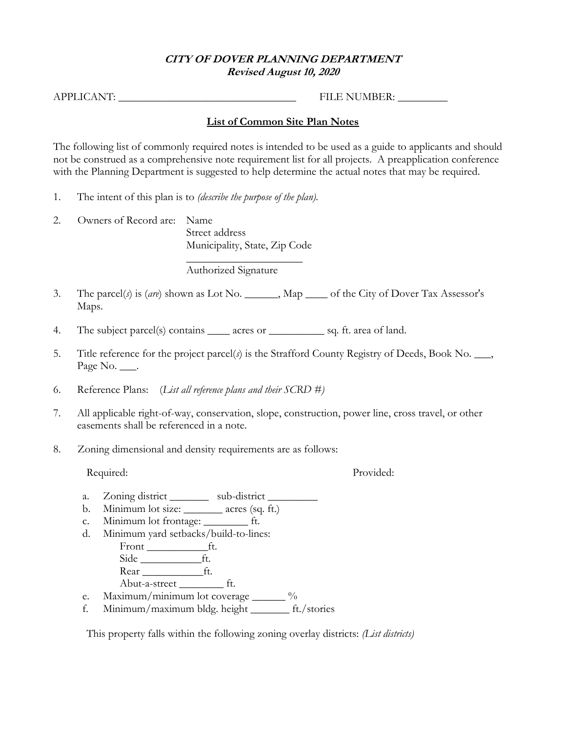### **CITY OF DOVER PLANNING DEPARTMENT Revised August 10, 2020**

APPLICANT: \_\_\_\_\_\_\_\_\_\_\_\_\_\_\_\_\_\_\_\_\_\_\_\_\_\_\_\_\_\_\_\_ FILE NUMBER: \_\_\_\_\_\_\_\_\_

### **List of Common Site Plan Notes**

The following list of commonly required notes is intended to be used as a guide to applicants and should not be construed as a comprehensive note requirement list for all projects. A preapplication conference with the Planning Department is suggested to help determine the actual notes that may be required.

- 1. The intent of this plan is to *(describe the purpose of the plan).*
- 2. Owners of Record are: Name Street address Municipality, State, Zip Code

 $\overline{\phantom{a}}$  , where  $\overline{\phantom{a}}$  , where  $\overline{\phantom{a}}$ Authorized Signature

- 3. The parcel(*s*) is (*are*) shown as Lot No. \_\_\_\_\_\_, Map \_\_\_\_ of the City of Dover Tax Assessor's Maps.
- 4. The subject parcel(s) contains \_\_\_\_\_ acres or \_\_\_\_\_\_\_\_\_\_\_\_ sq. ft. area of land.
- 5. Title reference for the project parcel(*s*) is the Strafford County Registry of Deeds, Book No. \_\_\_, Page No. \_\_\_.
- 6. Reference Plans: (*List all reference plans and their SCRD #)*
- 7. All applicable right-of-way, conservation, slope, construction, power line, cross travel, or other easements shall be referenced in a note.
- 8. Zoning dimensional and density requirements are as follows:

Required: Provided:

- a. Zoning district \_\_\_\_\_\_\_\_ sub-district \_\_\_\_\_\_\_\_
- b. Minimum lot size: \_\_\_\_\_\_\_ acres (sq. ft.)
- c. Minimum lot frontage: \_\_\_\_\_\_\_\_ ft.
- d. Minimum yard setbacks/build-to-lines:
	- Front \_\_\_\_\_\_\_\_\_\_\_ft. Side <u>\_\_\_\_\_\_\_\_\_\_\_\_</u>ft.
	- Rear \_\_\_\_\_\_\_\_\_\_\_ft.
	- Abut-a-street \_\_\_\_\_\_\_\_ ft.
- e. Maximum/minimum lot coverage \_\_\_\_\_\_ %
- f. Minimum/maximum bldg. height \_\_\_\_\_\_\_ ft./stories

This property falls within the following zoning overlay districts: *(List districts)*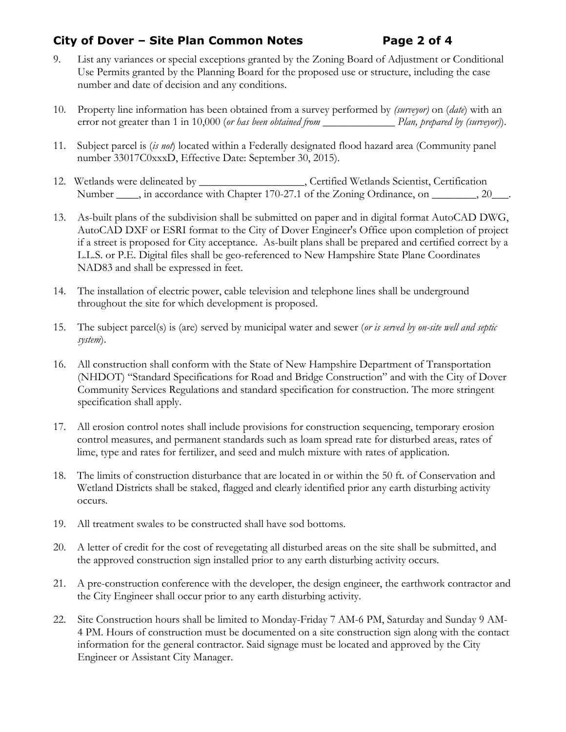# **City of Dover – Site Plan Common Notes Page 2 of 4**

- 9. List any variances or special exceptions granted by the Zoning Board of Adjustment or Conditional Use Permits granted by the Planning Board for the proposed use or structure, including the case number and date of decision and any conditions.
- 10. Property line information has been obtained from a survey performed by *(surveyor)* on (*date*) with an error not greater than 1 in 10,000 (*or has been obtained from* \_\_\_\_\_\_\_\_\_\_\_\_\_ *Plan, prepared by (surveyor)*).
- 11. Subject parcel is (*is not*) located within a Federally designated flood hazard area (Community panel number 33017C0xxxD, Effective Date: September 30, 2015).
- 12. Wetlands were delineated by \_\_\_\_\_\_\_\_\_\_\_\_\_\_\_\_\_\_\_, Certified Wetlands Scientist, Certification Number \_\_\_\_, in accordance with Chapter 170-27.1 of the Zoning Ordinance, on \_\_\_\_\_\_\_, 20\_\_\_.
- 13. As-built plans of the subdivision shall be submitted on paper and in digital format AutoCAD DWG, AutoCAD DXF or ESRI format to the City of Dover Engineer's Office upon completion of project if a street is proposed for City acceptance. As-built plans shall be prepared and certified correct by a L.L.S. or P.E. Digital files shall be geo-referenced to New Hampshire State Plane Coordinates NAD83 and shall be expressed in feet.
- 14. The installation of electric power, cable television and telephone lines shall be underground throughout the site for which development is proposed.
- 15. The subject parcel(s) is (are) served by municipal water and sewer (*or is served by on-site well and septic system*).
- 16. All construction shall conform with the State of New Hampshire Department of Transportation (NHDOT) "Standard Specifications for Road and Bridge Construction" and with the City of Dover Community Services Regulations and standard specification for construction. The more stringent specification shall apply.
- 17. All erosion control notes shall include provisions for construction sequencing, temporary erosion control measures, and permanent standards such as loam spread rate for disturbed areas, rates of lime, type and rates for fertilizer, and seed and mulch mixture with rates of application.
- 18. The limits of construction disturbance that are located in or within the 50 ft. of Conservation and Wetland Districts shall be staked, flagged and clearly identified prior any earth disturbing activity occurs.
- 19. All treatment swales to be constructed shall have sod bottoms.
- 20. A letter of credit for the cost of revegetating all disturbed areas on the site shall be submitted, and the approved construction sign installed prior to any earth disturbing activity occurs.
- 21. A pre-construction conference with the developer, the design engineer, the earthwork contractor and the City Engineer shall occur prior to any earth disturbing activity.
- 22. Site Construction hours shall be limited to Monday-Friday 7 AM-6 PM, Saturday and Sunday 9 AM-4 PM. Hours of construction must be documented on a site construction sign along with the contact information for the general contractor. Said signage must be located and approved by the City Engineer or Assistant City Manager.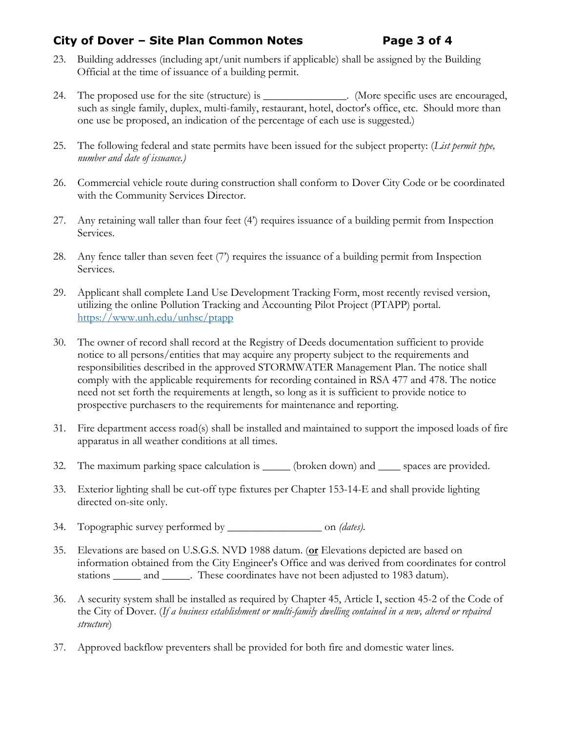# **City of Dover – Site Plan Common Notes Page 3 of 4**

- 23. Building addresses (including apt/unit numbers if applicable) shall be assigned by the Building Official at the time of issuance of a building permit.
- 24. The proposed use for the site (structure) is \_\_\_\_\_\_\_\_\_\_\_\_\_\_\_. (More specific uses are encouraged, such as single family, duplex, multi-family, restaurant, hotel, doctor's office, etc. Should more than one use be proposed, an indication of the percentage of each use is suggested.)
- 25. The following federal and state permits have been issued for the subject property: (*List permit type, number and date of issuance.)*
- 26. Commercial vehicle route during construction shall conform to Dover City Code or be coordinated with the Community Services Director.
- 27. Any retaining wall taller than four feet (4') requires issuance of a building permit from Inspection Services.
- 28. Any fence taller than seven feet (7') requires the issuance of a building permit from Inspection Services.
- 29. Applicant shall complete Land Use Development Tracking Form, most recently revised version, utilizing the online Pollution Tracking and Accounting Pilot Project (PTAPP) portal. <https://www.unh.edu/unhsc/ptapp>
- 30. The owner of record shall record at the Registry of Deeds documentation sufficient to provide notice to all persons/entities that may acquire any property subject to the requirements and responsibilities described in the approved STORMWATER Management Plan. The notice shall comply with the applicable requirements for recording contained in RSA 477 and 478. The notice need not set forth the requirements at length, so long as it is sufficient to provide notice to prospective purchasers to the requirements for maintenance and reporting.
- 31. Fire department access road(s) shall be installed and maintained to support the imposed loads of fire apparatus in all weather conditions at all times.
- 32. The maximum parking space calculation is \_\_\_\_\_\_ (broken down) and \_\_\_\_\_ spaces are provided.
- 33. Exterior lighting shall be cut-off type fixtures per Chapter 153-14-E and shall provide lighting directed on-site only.
- 34. Topographic survey performed by \_\_\_\_\_\_\_\_\_\_\_\_\_\_\_\_\_ on *(dates)*.
- 35. Elevations are based on U.S.G.S. NVD 1988 datum. (**or** Elevations depicted are based on information obtained from the City Engineer's Office and was derived from coordinates for control stations \_\_\_\_\_\_ and \_\_\_\_\_. These coordinates have not been adjusted to 1983 datum).
- 36. A security system shall be installed as required by Chapter 45, Article I, section 45-2 of the Code of the City of Dover. (*If a business establishment or multi-family dwelling contained in a new, altered or repaired structure*)
- 37. Approved backflow preventers shall be provided for both fire and domestic water lines.